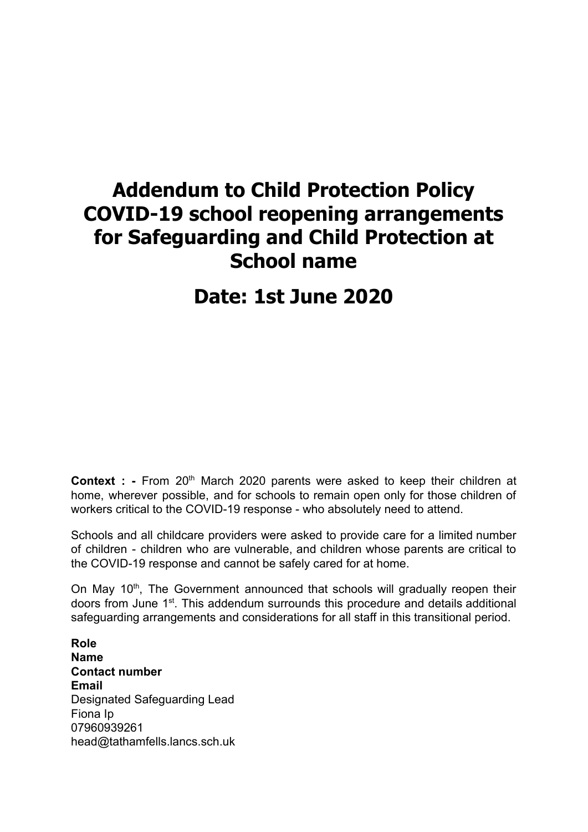# **Addendum to Child Protection Policy COVID-19 school reopening arrangements for Safeguarding and Child Protection at School name**

# **Date: 1st June 2020**

**Context** : **-** From 20<sup>th</sup> March 2020 parents were asked to keep their children at home, wherever possible, and for schools to remain open only for those children of workers critical to the COVID-19 response - who absolutely need to attend.

Schools and all childcare providers were asked to provide care for a limited number of children - children who are vulnerable, and children whose parents are critical to the COVID-19 response and cannot be safely cared for at home.

On May 10<sup>th</sup>, The Government announced that schools will gradually reopen their doors from June 1<sup>st</sup>. This addendum surrounds this procedure and details additional safeguarding arrangements and considerations for all staff in this transitional period.

**Role Name Contact number Email** Designated Safeguarding Lead Fiona Ip 07960939261 head@tathamfells.lancs.sch.uk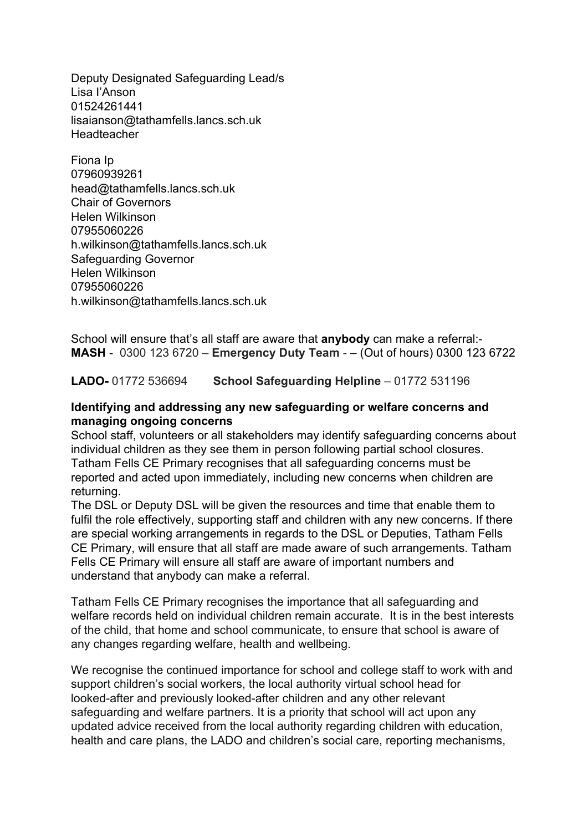Deputy Designated Safeguarding Lead/s Lisa I'Anson 01524261441 lisaianson@tathamfells.lancs.sch.uk **Headteacher** 

Fiona Ip 07960939261 head@tathamfells.lancs.sch.uk Chair of Governors Helen Wilkinson 07955060226 h.wilkinson@tathamfells.lancs.sch.uk Safeguarding Governor Helen Wilkinson 07955060226 h.wilkinson@tathamfells.lancs.sch.uk

School will ensure that's all staff are aware that **anybody** can make a referral:- **MASH** - 0300 123 6720 – **Emergency Duty Team** - – (Out of hours) 0300 123 6722

**LADO-** 01772 536694 **School Safeguarding Helpline** – 01772 531196

#### **Identifying and addressing any new safeguarding or welfare concerns and managing ongoing concerns**

School staff, volunteers or all stakeholders may identify safeguarding concerns about individual children as they see them in person following partial school closures. Tatham Fells CE Primary recognises that all safeguarding concerns must be reported and acted upon immediately, including new concerns when children are returning.

The DSL or Deputy DSL will be given the resources and time that enable them to fulfil the role effectively, supporting staff and children with any new concerns. If there are special working arrangements in regards to the DSL or Deputies, Tatham Fells CE Primary, will ensure that all staff are made aware of such arrangements. Tatham Fells CE Primary will ensure all staff are aware of important numbers and understand that anybody can make a referral.

Tatham Fells CE Primary recognises the importance that all safeguarding and welfare records held on individual children remain accurate. It is in the best interests of the child, that home and school communicate, to ensure that school is aware of any changes regarding welfare, health and wellbeing.

We recognise the continued importance for school and college staff to work with and support children's social workers, the local authority virtual school head for looked-after and previously looked-after children and any other relevant safeguarding and welfare partners. It is a priority that school will act upon any updated advice received from the local authority regarding children with education, health and care plans, the LADO and children's social care, reporting mechanisms,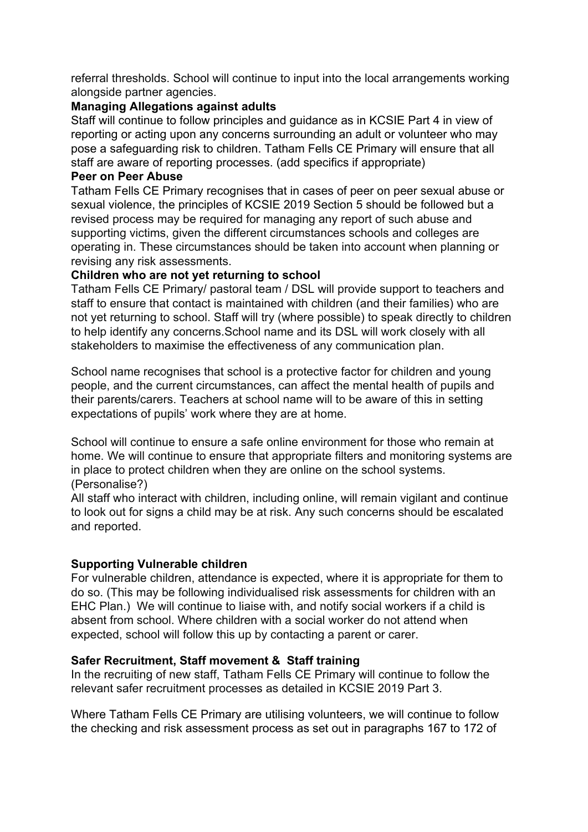referral thresholds. School will continue to input into the local arrangements working alongside partner agencies.

## **Managing Allegations against adults**

Staff will continue to follow principles and guidance as in KCSIE Part 4 in view of reporting or acting upon any concerns surrounding an adult or volunteer who may pose a safeguarding risk to children. Tatham Fells CE Primary will ensure that all staff are aware of reporting processes. (add specifics if appropriate)

#### **Peer on Peer Abuse**

Tatham Fells CE Primary recognises that in cases of peer on peer sexual abuse or sexual violence, the principles of KCSIE 2019 Section 5 should be followed but a revised process may be required for managing any report of such abuse and supporting victims, given the different circumstances schools and colleges are operating in. These circumstances should be taken into account when planning or revising any risk assessments.

### **Children who are not yet returning to school**

Tatham Fells CE Primary/ pastoral team / DSL will provide support to teachers and staff to ensure that contact is maintained with children (and their families) who are not yet returning to school. Staff will try (where possible) to speak directly to children to help identify any concerns.School name and its DSL will work closely with all stakeholders to maximise the effectiveness of any communication plan.

School name recognises that school is a protective factor for children and young people, and the current circumstances, can affect the mental health of pupils and their parents/carers. Teachers at school name will to be aware of this in setting expectations of pupils' work where they are at home.

School will continue to ensure a safe online environment for those who remain at home. We will continue to ensure that appropriate filters and monitoring systems are in place to protect children when they are online on the school systems. (Personalise?)

All staff who interact with children, including online, will remain vigilant and continue to look out for signs a child may be at risk. Any such concerns should be escalated and reported.

#### **Supporting Vulnerable children**

For vulnerable children, attendance is expected, where it is appropriate for them to do so. (This may be following individualised risk assessments for children with an EHC Plan.) We will continue to liaise with, and notify social workers if a child is absent from school. Where children with a social worker do not attend when expected, school will follow this up by contacting a parent or carer.

#### **Safer Recruitment, Staff movement & Staff training**

In the recruiting of new staff, Tatham Fells CE Primary will continue to follow the relevant safer recruitment processes as detailed in KCSIE 2019 Part 3.

Where Tatham Fells CE Primary are utilising volunteers, we will continue to follow the checking and risk assessment process as set out in paragraphs 167 to 172 of